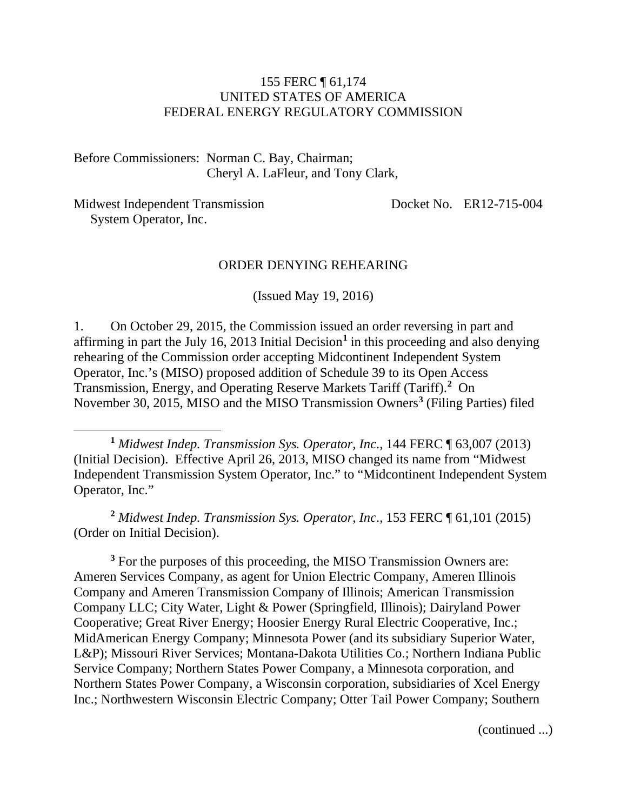#### 155 FERC ¶ 61,174 UNITED STATES OF AMERICA FEDERAL ENERGY REGULATORY COMMISSION

Before Commissioners: Norman C. Bay, Chairman; Cheryl A. LaFleur, and Tony Clark,

Midwest Independent Transmission System Operator, Inc.

 $\overline{a}$ 

Docket No. ER12-715-004

#### ORDER DENYING REHEARING

(Issued May 19, 2016)

1. On October 29, 2015, the Commission issued an order reversing in part and affirming in part the July [1](#page-0-0)6, 2013 Initial Decision<sup>1</sup> in this proceeding and also denying rehearing of the Commission order accepting Midcontinent Independent System Operator, Inc.'s (MISO) proposed addition of Schedule 39 to its Open Access Transmission, Energy, and Operating Reserve Markets Tariff (Tariff). **[2](#page-0-1)** On November 30, 2015, MISO and the MISO Transmission Owners**[3](#page-0-2)** (Filing Parties) filed

<span id="page-0-0"></span>**<sup>1</sup>** *Midwest Indep. Transmission Sys. Operator, Inc*., 144 FERC ¶ 63,007 (2013) (Initial Decision). Effective April 26, 2013, MISO changed its name from "Midwest Independent Transmission System Operator, Inc." to "Midcontinent Independent System Operator, Inc."

<span id="page-0-1"></span>**<sup>2</sup>** *Midwest Indep. Transmission Sys. Operator, Inc*., 153 FERC ¶ 61,101 (2015) (Order on Initial Decision).

<span id="page-0-2"></span><sup>3</sup> For the purposes of this proceeding, the MISO Transmission Owners are: Ameren Services Company, as agent for Union Electric Company, Ameren Illinois Company and Ameren Transmission Company of Illinois; American Transmission Company LLC; City Water, Light & Power (Springfield, Illinois); Dairyland Power Cooperative; Great River Energy; Hoosier Energy Rural Electric Cooperative, Inc.; MidAmerican Energy Company; Minnesota Power (and its subsidiary Superior Water, L&P); Missouri River Services; Montana-Dakota Utilities Co.; Northern Indiana Public Service Company; Northern States Power Company, a Minnesota corporation, and Northern States Power Company, a Wisconsin corporation, subsidiaries of Xcel Energy Inc.; Northwestern Wisconsin Electric Company; Otter Tail Power Company; Southern

(continued ...)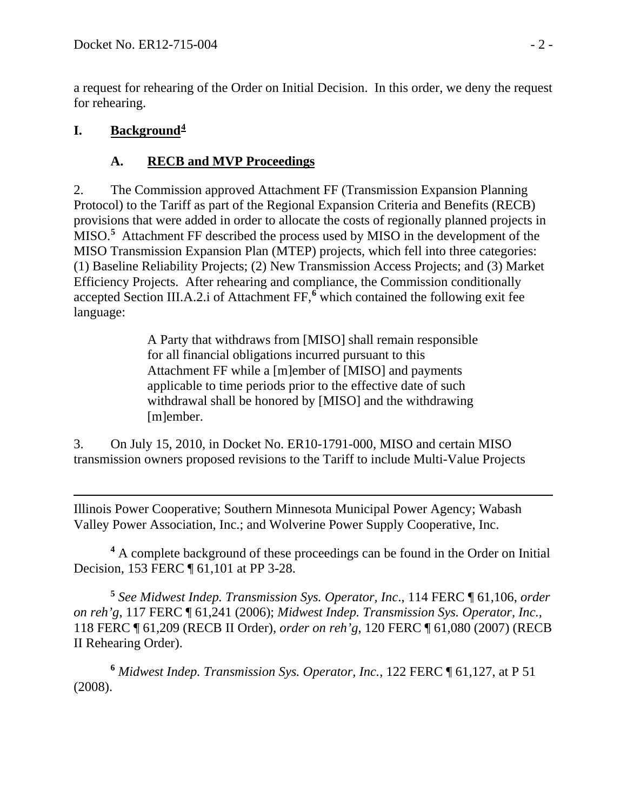a request for rehearing of the Order on Initial Decision. In this order, we deny the request for rehearing.

#### **I. Background[4](#page-1-0)**

# **A. RECB and MVP Proceedings**

2. The Commission approved Attachment FF (Transmission Expansion Planning Protocol) to the Tariff as part of the Regional Expansion Criteria and Benefits (RECB) provisions that were added in order to allocate the costs of regionally planned projects in MISO.**[5](#page-1-1)** Attachment FF described the process used by MISO in the development of the MISO Transmission Expansion Plan (MTEP) projects, which fell into three categories: (1) Baseline Reliability Projects; (2) New Transmission Access Projects; and (3) Market Efficiency Projects. After rehearing and compliance, the Commission conditionally accepted Section III.A.2.i of Attachment FF,**[6](#page-1-2)** which contained the following exit fee language:

> A Party that withdraws from [MISO] shall remain responsible for all financial obligations incurred pursuant to this Attachment FF while a [m]ember of [MISO] and payments applicable to time periods prior to the effective date of such withdrawal shall be honored by [MISO] and the withdrawing [m]ember.

3. On July 15, 2010, in Docket No. ER10-1791-000, MISO and certain MISO transmission owners proposed revisions to the Tariff to include Multi-Value Projects

 $\overline{a}$ Illinois Power Cooperative; Southern Minnesota Municipal Power Agency; Wabash Valley Power Association, Inc.; and Wolverine Power Supply Cooperative, Inc.

<span id="page-1-0"></span>**<sup>4</sup>** A complete background of these proceedings can be found in the Order on Initial Decision, 153 FERC ¶ 61,101 at PP 3-28.

<span id="page-1-1"></span>**<sup>5</sup>** *See Midwest Indep. Transmission Sys. Operator, Inc*., 114 FERC ¶ 61,106, *order on reh'g*, 117 FERC ¶ 61,241 (2006); *Midwest Indep. Transmission Sys. Operator, Inc.,*  118 FERC ¶ 61,209 (RECB II Order), *order on reh'g*, 120 FERC ¶ 61,080 (2007) (RECB II Rehearing Order).

<span id="page-1-2"></span>**<sup>6</sup>** *Midwest Indep. Transmission Sys. Operator, Inc.*, 122 FERC ¶ 61,127, at P 51 (2008).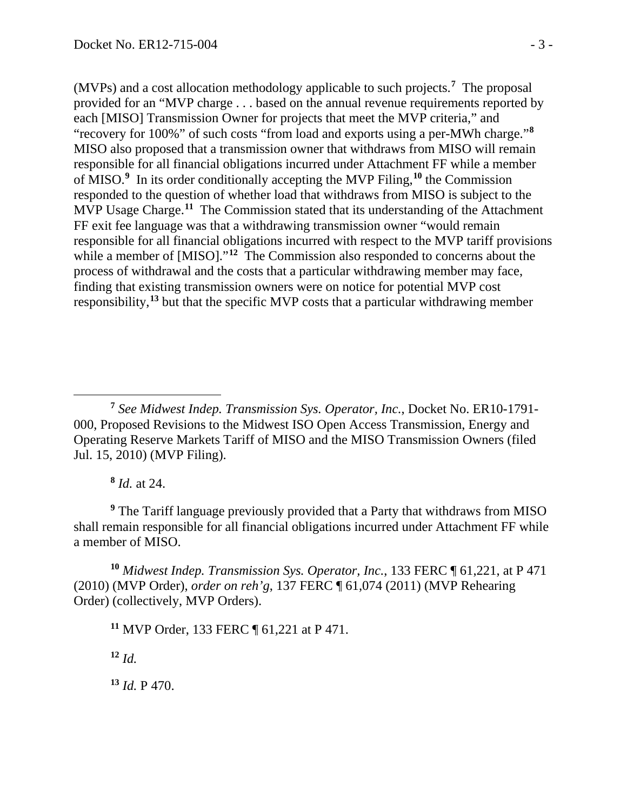(MVPs) and a cost allocation methodology applicable to such projects.**[7](#page-2-0)** The proposal provided for an "MVP charge . . . based on the annual revenue requirements reported by each [MISO] Transmission Owner for projects that meet the MVP criteria," and "recovery for 100%" of such costs "from load and exports using a per-MWh charge."**[8](#page-2-1)** MISO also proposed that a transmission owner that withdraws from MISO will remain responsible for all financial obligations incurred under Attachment FF while a member of MISO.**[9](#page-2-2)** In its order conditionally accepting the MVP Filing,**[10](#page-2-3)** the Commission responded to the question of whether load that withdraws from MISO is subject to the MVP Usage Charge.**[11](#page-2-4)** The Commission stated that its understanding of the Attachment FF exit fee language was that a withdrawing transmission owner "would remain responsible for all financial obligations incurred with respect to the MVP tariff provisions while a member of [MISO]."<sup>[12](#page-2-5)</sup> The Commission also responded to concerns about the process of withdrawal and the costs that a particular withdrawing member may face, finding that existing transmission owners were on notice for potential MVP cost responsibility, **[13](#page-2-6)** but that the specific MVP costs that a particular withdrawing member

**<sup>8</sup>** *Id.* at 24.

 $\overline{a}$ 

<span id="page-2-2"></span><span id="page-2-1"></span>**<sup>9</sup>** The Tariff language previously provided that a Party that withdraws from MISO shall remain responsible for all financial obligations incurred under Attachment FF while a member of MISO.

<span id="page-2-4"></span><span id="page-2-3"></span>**<sup>10</sup>** *Midwest Indep. Transmission Sys. Operator, Inc.*, 133 FERC ¶ 61,221, at P 471 (2010) (MVP Order), *order on reh'g*, 137 FERC ¶ 61,074 (2011) (MVP Rehearing Order) (collectively, MVP Orders).

**<sup>11</sup>** MVP Order, 133 FERC ¶ 61,221 at P 471.

<span id="page-2-5"></span> $12 \, Id.$ 

<span id="page-2-6"></span>**<sup>13</sup>** *Id.* P 470.

<span id="page-2-0"></span>**<sup>7</sup>** *See Midwest Indep. Transmission Sys. Operator, Inc.*, Docket No. ER10-1791- 000, Proposed Revisions to the Midwest ISO Open Access Transmission, Energy and Operating Reserve Markets Tariff of MISO and the MISO Transmission Owners (filed Jul. 15, 2010) (MVP Filing).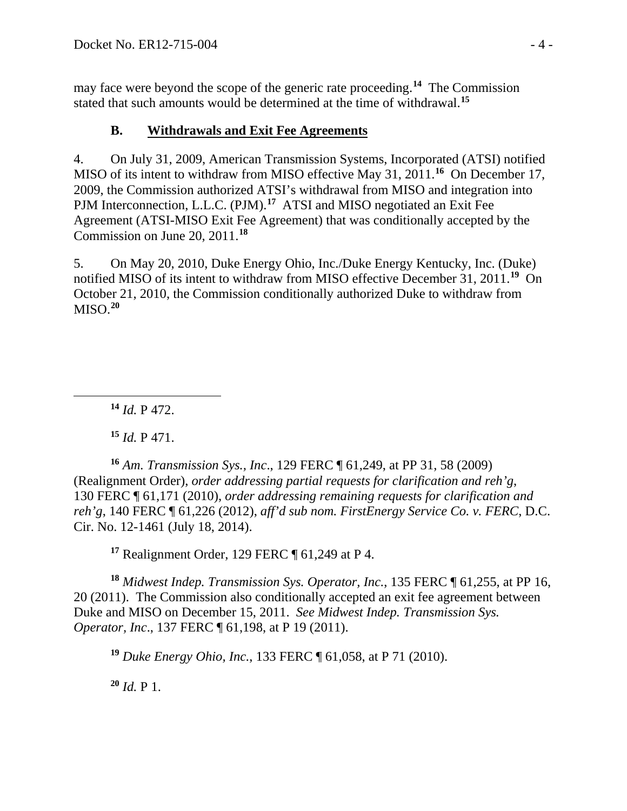may face were beyond the scope of the generic rate proceeding.**[14](#page-3-0)** The Commission stated that such amounts would be determined at the time of withdrawal.**[15](#page-3-1)**

## **B. Withdrawals and Exit Fee Agreements**

4. On July 31, 2009, American Transmission Systems, Incorporated (ATSI) notified MISO of its intent to withdraw from MISO effective May 31, 2011. **[16](#page-3-2)** On December 17, 2009, the Commission authorized ATSI's withdrawal from MISO and integration into PJM Interconnection, L.L.C. (PJM).<sup>[17](#page-3-3)</sup> ATSI and MISO negotiated an Exit Fee Agreement (ATSI-MISO Exit Fee Agreement) that was conditionally accepted by the Commission on June 20, 2011. **[18](#page-3-4)**

5. On May 20, 2010, Duke Energy Ohio, Inc./Duke Energy Kentucky, Inc. (Duke) notified MISO of its intent to withdraw from MISO effective December 31, 2011.**[19](#page-3-5)** On October 21, 2010, the Commission conditionally authorized Duke to withdraw from MISO.**[20](#page-3-6)**

**<sup>14</sup>** *Id.* P 472.

<span id="page-3-0"></span> $\overline{a}$ 

**<sup>15</sup>** *Id.* P 471.

<span id="page-3-2"></span><span id="page-3-1"></span>**<sup>16</sup>** *Am. Transmission Sys., Inc*., 129 FERC ¶ 61,249, at PP 31, 58 (2009) (Realignment Order), *order addressing partial requests for clarification and reh'g*, 130 FERC ¶ 61,171 (2010), *order addressing remaining requests for clarification and reh'g*, 140 FERC ¶ 61,226 (2012), *aff'd sub nom. FirstEnergy Service Co. v. FERC*, D.C. Cir. No. 12-1461 (July 18, 2014).

**<sup>17</sup>** Realignment Order, 129 FERC ¶ 61,249 at P 4.

<span id="page-3-5"></span><span id="page-3-4"></span><span id="page-3-3"></span>**<sup>18</sup>** *Midwest Indep. Transmission Sys. Operator, Inc.*, 135 FERC ¶ 61,255, at PP 16, 20 (2011). The Commission also conditionally accepted an exit fee agreement between Duke and MISO on December 15, 2011. *See Midwest Indep. Transmission Sys. Operator, Inc*., 137 FERC ¶ 61,198, at P 19 (2011).

**<sup>19</sup>** *Duke Energy Ohio, Inc.*, 133 FERC ¶ 61,058, at P 71 (2010).

<span id="page-3-6"></span>**<sup>20</sup>** *Id.* P 1.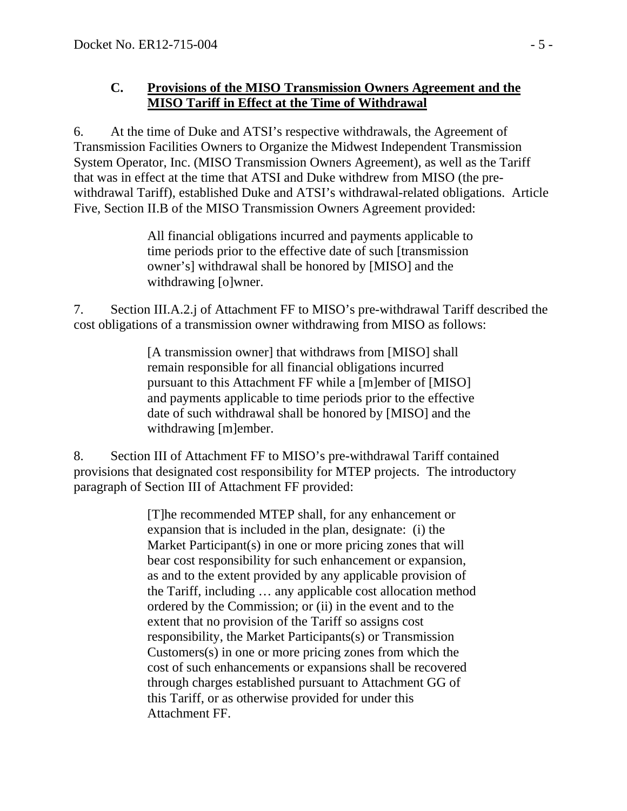#### **C. Provisions of the MISO Transmission Owners Agreement and the MISO Tariff in Effect at the Time of Withdrawal**

6. At the time of Duke and ATSI's respective withdrawals, the Agreement of Transmission Facilities Owners to Organize the Midwest Independent Transmission System Operator, Inc. (MISO Transmission Owners Agreement), as well as the Tariff that was in effect at the time that ATSI and Duke withdrew from MISO (the prewithdrawal Tariff), established Duke and ATSI's withdrawal-related obligations. Article Five, Section II.B of the MISO Transmission Owners Agreement provided:

> All financial obligations incurred and payments applicable to time periods prior to the effective date of such [transmission owner's] withdrawal shall be honored by [MISO] and the withdrawing [o]wner.

7. Section III.A.2.j of Attachment FF to MISO's pre-withdrawal Tariff described the cost obligations of a transmission owner withdrawing from MISO as follows:

> [A transmission owner] that withdraws from [MISO] shall remain responsible for all financial obligations incurred pursuant to this Attachment FF while a [m]ember of [MISO] and payments applicable to time periods prior to the effective date of such withdrawal shall be honored by [MISO] and the withdrawing [m]ember.

8. Section III of Attachment FF to MISO's pre-withdrawal Tariff contained provisions that designated cost responsibility for MTEP projects. The introductory paragraph of Section III of Attachment FF provided:

> [T]he recommended MTEP shall, for any enhancement or expansion that is included in the plan, designate: (i) the Market Participant(s) in one or more pricing zones that will bear cost responsibility for such enhancement or expansion, as and to the extent provided by any applicable provision of the Tariff, including … any applicable cost allocation method ordered by the Commission; or (ii) in the event and to the extent that no provision of the Tariff so assigns cost responsibility, the Market Participants(s) or Transmission Customers(s) in one or more pricing zones from which the cost of such enhancements or expansions shall be recovered through charges established pursuant to Attachment GG of this Tariff, or as otherwise provided for under this Attachment FF.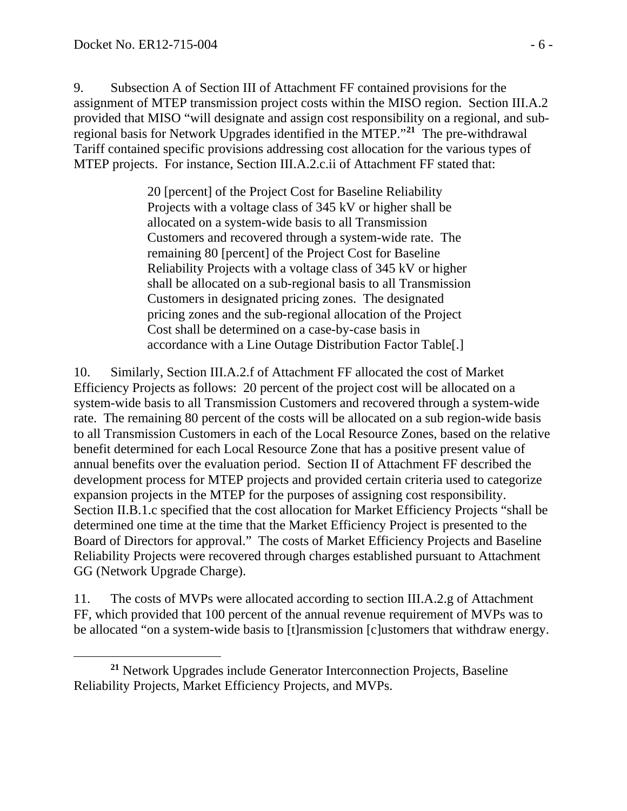$\overline{a}$ 

9. Subsection A of Section III of Attachment FF contained provisions for the assignment of MTEP transmission project costs within the MISO region. Section III.A.2 provided that MISO "will designate and assign cost responsibility on a regional, and subregional basis for Network Upgrades identified in the MTEP."**[21](#page-5-0)** The pre-withdrawal Tariff contained specific provisions addressing cost allocation for the various types of MTEP projects. For instance, Section III.A.2.c.ii of Attachment FF stated that:

> 20 [percent] of the Project Cost for Baseline Reliability Projects with a voltage class of 345 kV or higher shall be allocated on a system-wide basis to all Transmission Customers and recovered through a system-wide rate. The remaining 80 [percent] of the Project Cost for Baseline Reliability Projects with a voltage class of 345 kV or higher shall be allocated on a sub-regional basis to all Transmission Customers in designated pricing zones. The designated pricing zones and the sub-regional allocation of the Project Cost shall be determined on a case-by-case basis in accordance with a Line Outage Distribution Factor Table[.]

10. Similarly, Section III.A.2.f of Attachment FF allocated the cost of Market Efficiency Projects as follows: 20 percent of the project cost will be allocated on a system-wide basis to all Transmission Customers and recovered through a system-wide rate. The remaining 80 percent of the costs will be allocated on a sub region-wide basis to all Transmission Customers in each of the Local Resource Zones, based on the relative benefit determined for each Local Resource Zone that has a positive present value of annual benefits over the evaluation period.Section II of Attachment FF described the development process for MTEP projects and provided certain criteria used to categorize expansion projects in the MTEP for the purposes of assigning cost responsibility. Section II.B.1.c specified that the cost allocation for Market Efficiency Projects "shall be determined one time at the time that the Market Efficiency Project is presented to the Board of Directors for approval." The costs of Market Efficiency Projects and Baseline Reliability Projects were recovered through charges established pursuant to Attachment GG (Network Upgrade Charge).

11. The costs of MVPs were allocated according to section III.A.2.g of Attachment FF, which provided that 100 percent of the annual revenue requirement of MVPs was to be allocated "on a system-wide basis to [t]ransmission [c]ustomers that withdraw energy.

<span id="page-5-0"></span>**<sup>21</sup>** Network Upgrades include Generator Interconnection Projects, Baseline Reliability Projects, Market Efficiency Projects, and MVPs.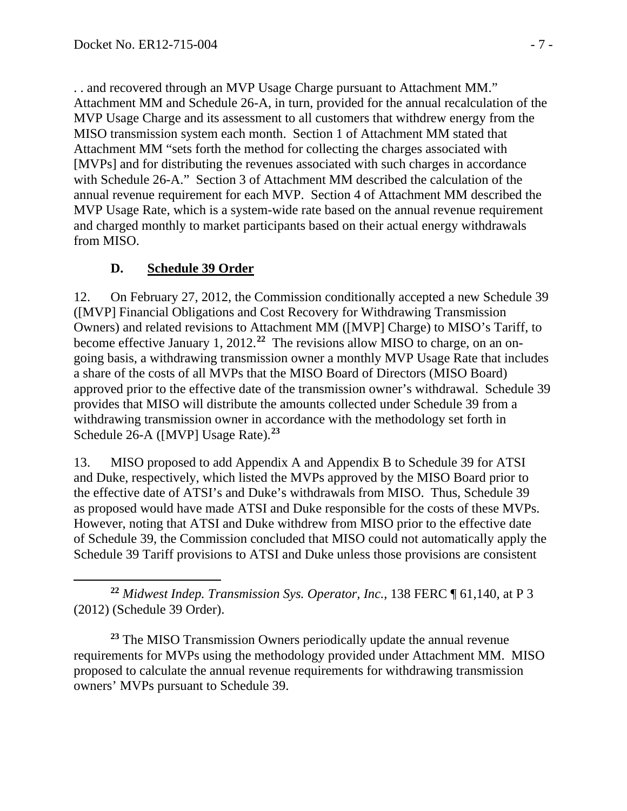. . and recovered through an MVP Usage Charge pursuant to Attachment MM." Attachment MM and Schedule 26-A, in turn, provided for the annual recalculation of the MVP Usage Charge and its assessment to all customers that withdrew energy from the MISO transmission system each month. Section 1 of Attachment MM stated that Attachment MM "sets forth the method for collecting the charges associated with [MVPs] and for distributing the revenues associated with such charges in accordance with Schedule 26-A." Section 3 of Attachment MM described the calculation of the annual revenue requirement for each MVP. Section 4 of Attachment MM described the MVP Usage Rate, which is a system-wide rate based on the annual revenue requirement and charged monthly to market participants based on their actual energy withdrawals from MISO.

## **D. Schedule 39 Order**

12. On February 27, 2012, the Commission conditionally accepted a new Schedule 39 ([MVP] Financial Obligations and Cost Recovery for Withdrawing Transmission Owners) and related revisions to Attachment MM ([MVP] Charge) to MISO's Tariff, to become effective January 1, 2012. **[22](#page-6-0)** The revisions allow MISO to charge, on an ongoing basis, a withdrawing transmission owner a monthly MVP Usage Rate that includes a share of the costs of all MVPs that the MISO Board of Directors (MISO Board) approved prior to the effective date of the transmission owner's withdrawal. Schedule 39 provides that MISO will distribute the amounts collected under Schedule 39 from a withdrawing transmission owner in accordance with the methodology set forth in Schedule 26-A ([MVP] Usage Rate). **[23](#page-6-1)**

13. MISO proposed to add Appendix A and Appendix B to Schedule 39 for ATSI and Duke, respectively, which listed the MVPs approved by the MISO Board prior to the effective date of ATSI's and Duke's withdrawals from MISO. Thus, Schedule 39 as proposed would have made ATSI and Duke responsible for the costs of these MVPs. However, noting that ATSI and Duke withdrew from MISO prior to the effective date of Schedule 39, the Commission concluded that MISO could not automatically apply the Schedule 39 Tariff provisions to ATSI and Duke unless those provisions are consistent

<span id="page-6-0"></span> $\overline{a}$ **<sup>22</sup>** *Midwest Indep. Transmission Sys. Operator, Inc.*, 138 FERC ¶ 61,140, at P 3 (2012) (Schedule 39 Order).

<span id="page-6-1"></span>**<sup>23</sup>** The MISO Transmission Owners periodically update the annual revenue requirements for MVPs using the methodology provided under Attachment MM. MISO proposed to calculate the annual revenue requirements for withdrawing transmission owners' MVPs pursuant to Schedule 39.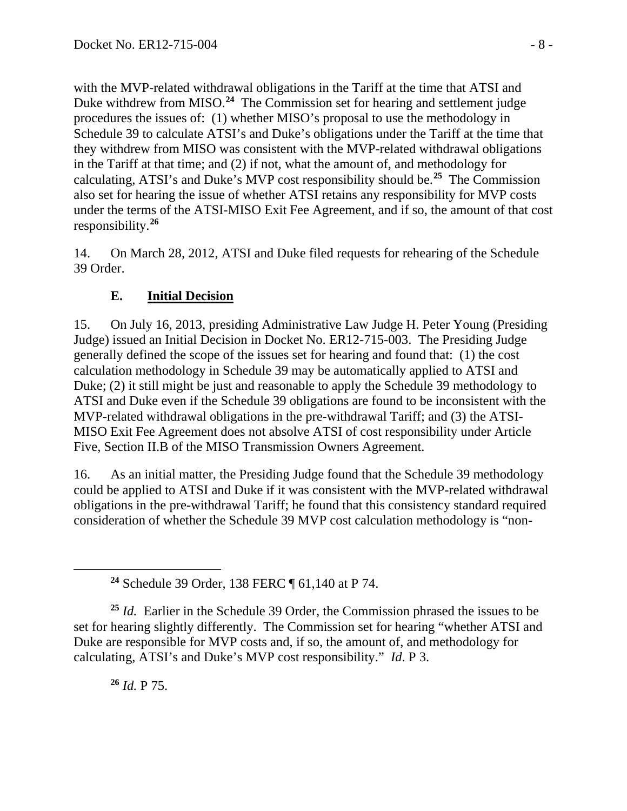with the MVP-related withdrawal obligations in the Tariff at the time that ATSI and Duke withdrew from MISO.<sup>[24](#page-7-0)</sup> The Commission set for hearing and settlement judge procedures the issues of: (1) whether MISO's proposal to use the methodology in Schedule 39 to calculate ATSI's and Duke's obligations under the Tariff at the time that they withdrew from MISO was consistent with the MVP-related withdrawal obligations in the Tariff at that time; and (2) if not, what the amount of, and methodology for calculating, ATSI's and Duke's MVP cost responsibility should be.**[25](#page-7-1)** The Commission also set for hearing the issue of whether ATSI retains any responsibility for MVP costs under the terms of the ATSI-MISO Exit Fee Agreement, and if so, the amount of that cost responsibility.**[26](#page-7-2)**

14. On March 28, 2012, ATSI and Duke filed requests for rehearing of the Schedule 39 Order.

# **E. Initial Decision**

15. On July 16, 2013, presiding Administrative Law Judge H. Peter Young (Presiding Judge) issued an Initial Decision in Docket No. ER12-715-003. The Presiding Judge generally defined the scope of the issues set for hearing and found that: (1) the cost calculation methodology in Schedule 39 may be automatically applied to ATSI and Duke; (2) it still might be just and reasonable to apply the Schedule 39 methodology to ATSI and Duke even if the Schedule 39 obligations are found to be inconsistent with the MVP-related withdrawal obligations in the pre-withdrawal Tariff; and (3) the ATSI-MISO Exit Fee Agreement does not absolve ATSI of cost responsibility under Article Five, Section II.B of the MISO Transmission Owners Agreement.

16. As an initial matter, the Presiding Judge found that the Schedule 39 methodology could be applied to ATSI and Duke if it was consistent with the MVP-related withdrawal obligations in the pre-withdrawal Tariff; he found that this consistency standard required consideration of whether the Schedule 39 MVP cost calculation methodology is "non-

**<sup>26</sup>** *Id.* P 75.

<span id="page-7-0"></span> $\overline{a}$ 

**<sup>24</sup>** Schedule 39 Order, 138 FERC ¶ 61,140 at P 74.

<span id="page-7-2"></span><span id="page-7-1"></span>**<sup>25</sup>** *Id.* Earlier in the Schedule 39 Order, the Commission phrased the issues to be set for hearing slightly differently. The Commission set for hearing "whether ATSI and Duke are responsible for MVP costs and, if so, the amount of, and methodology for calculating, ATSI's and Duke's MVP cost responsibility." *Id*. P 3.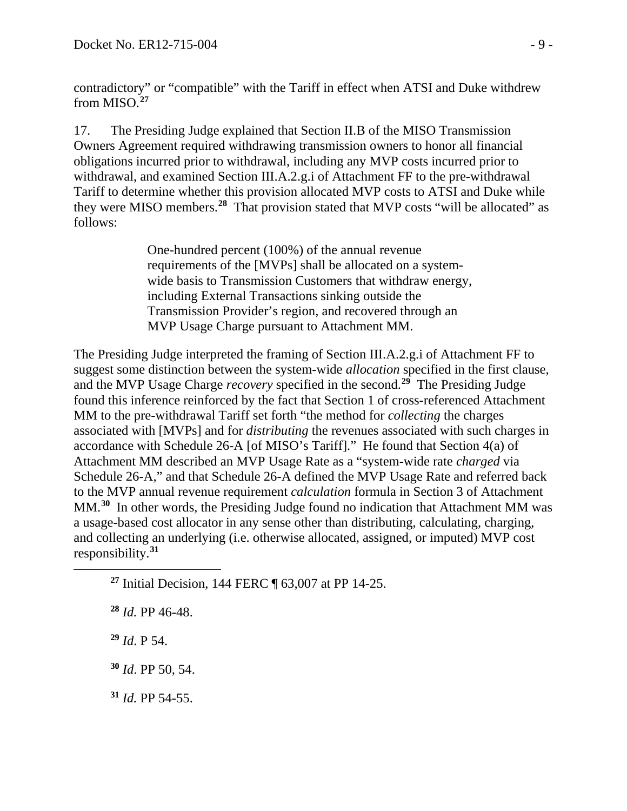contradictory" or "compatible" with the Tariff in effect when ATSI and Duke withdrew from MISO. **[27](#page-8-0)**

17. The Presiding Judge explained that Section II.B of the MISO Transmission Owners Agreement required withdrawing transmission owners to honor all financial obligations incurred prior to withdrawal, including any MVP costs incurred prior to withdrawal, and examined Section III.A.2.g.i of Attachment FF to the pre-withdrawal Tariff to determine whether this provision allocated MVP costs to ATSI and Duke while they were MISO members.**[28](#page-8-1)** That provision stated that MVP costs "will be allocated" as follows:

> One-hundred percent (100%) of the annual revenue requirements of the [MVPs] shall be allocated on a systemwide basis to Transmission Customers that withdraw energy, including External Transactions sinking outside the Transmission Provider's region, and recovered through an MVP Usage Charge pursuant to Attachment MM.

The Presiding Judge interpreted the framing of Section III.A.2.g.i of Attachment FF to suggest some distinction between the system-wide *allocation* specified in the first clause, and the MVP Usage Charge *recovery* specified in the second.**[29](#page-8-2)** The Presiding Judge found this inference reinforced by the fact that Section 1 of cross-referenced Attachment MM to the pre-withdrawal Tariff set forth "the method for *collecting* the charges associated with [MVPs] and for *distributing* the revenues associated with such charges in accordance with Schedule 26-A [of MISO's Tariff]." He found that Section 4(a) of Attachment MM described an MVP Usage Rate as a "system-wide rate *charged* via Schedule 26-A," and that Schedule 26-A defined the MVP Usage Rate and referred back to the MVP annual revenue requirement *calculation* formula in Section 3 of Attachment MM. **[30](#page-8-3)** In other words, the Presiding Judge found no indication that Attachment MM was a usage-based cost allocator in any sense other than distributing, calculating, charging, and collecting an underlying (i.e. otherwise allocated, assigned, or imputed) MVP cost responsibility. **[31](#page-8-4)**

**<sup>27</sup>** Initial Decision, 144 FERC ¶ 63,007 at PP 14-25.

**<sup>29</sup>** *Id*. P 54.

<span id="page-8-2"></span><span id="page-8-1"></span><span id="page-8-0"></span> $\overline{a}$ 

<span id="page-8-3"></span>**<sup>30</sup>** *Id*. PP 50, 54.

<span id="page-8-4"></span>**<sup>31</sup>** *Id.* PP 54-55.

**<sup>28</sup>** *Id.* PP 46-48.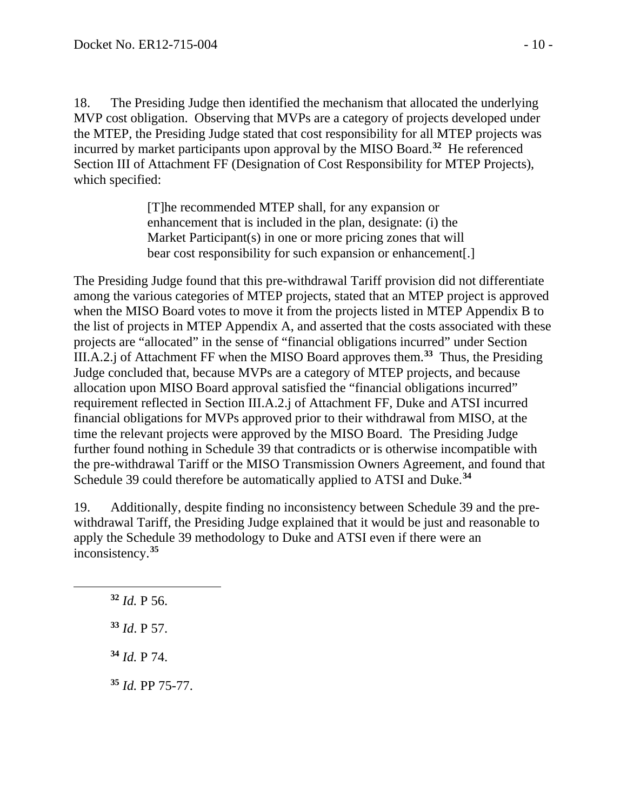18. The Presiding Judge then identified the mechanism that allocated the underlying MVP cost obligation. Observing that MVPs are a category of projects developed under the MTEP, the Presiding Judge stated that cost responsibility for all MTEP projects was incurred by market participants upon approval by the MISO Board.**[32](#page-9-0)** He referenced Section III of Attachment FF (Designation of Cost Responsibility for MTEP Projects), which specified:

> [T]he recommended MTEP shall, for any expansion or enhancement that is included in the plan, designate: (i) the Market Participant(s) in one or more pricing zones that will bear cost responsibility for such expansion or enhancement[.]

The Presiding Judge found that this pre-withdrawal Tariff provision did not differentiate among the various categories of MTEP projects, stated that an MTEP project is approved when the MISO Board votes to move it from the projects listed in MTEP Appendix B to the list of projects in MTEP Appendix A, and asserted that the costs associated with these projects are "allocated" in the sense of "financial obligations incurred" under Section III.A.2.j of Attachment FF when the MISO Board approves them.**[33](#page-9-1)** Thus, the Presiding Judge concluded that, because MVPs are a category of MTEP projects, and because allocation upon MISO Board approval satisfied the "financial obligations incurred" requirement reflected in Section III.A.2.j of Attachment FF, Duke and ATSI incurred financial obligations for MVPs approved prior to their withdrawal from MISO, at the time the relevant projects were approved by the MISO Board. The Presiding Judge further found nothing in Schedule 39 that contradicts or is otherwise incompatible with the pre-withdrawal Tariff or the MISO Transmission Owners Agreement, and found that Schedule 39 could therefore be automatically applied to ATSI and Duke.**[34](#page-9-2)**

19. Additionally, despite finding no inconsistency between Schedule 39 and the prewithdrawal Tariff, the Presiding Judge explained that it would be just and reasonable to apply the Schedule 39 methodology to Duke and ATSI even if there were an inconsistency.**[35](#page-9-3)**

**<sup>32</sup>** *Id.* P 56.

<span id="page-9-2"></span><span id="page-9-1"></span><span id="page-9-0"></span> $\overline{a}$ 

**<sup>33</sup>** *Id*. P 57.

**<sup>34</sup>** *Id.* P 74.

<span id="page-9-3"></span>**<sup>35</sup>** *Id.* PP 75-77.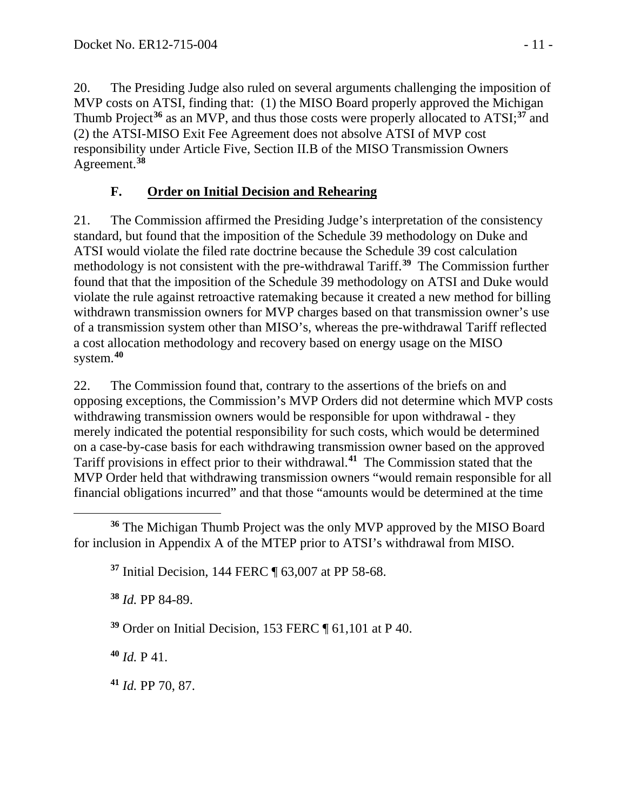20. The Presiding Judge also ruled on several arguments challenging the imposition of MVP costs on ATSI, finding that: (1) the MISO Board properly approved the Michigan Thumb Project**[36](#page-10-0)** as an MVP, and thus those costs were properly allocated to ATSI;**[37](#page-10-1)** and (2) the ATSI-MISO Exit Fee Agreement does not absolve ATSI of MVP cost responsibility under Article Five, Section II.B of the MISO Transmission Owners Agreement. **[38](#page-10-2)**

# **F. Order on Initial Decision and Rehearing**

21. The Commission affirmed the Presiding Judge's interpretation of the consistency standard, but found that the imposition of the Schedule 39 methodology on Duke and ATSI would violate the filed rate doctrine because the Schedule 39 cost calculation methodology is not consistent with the pre-withdrawal Tariff. **[39](#page-10-3)** The Commission further found that that the imposition of the Schedule 39 methodology on ATSI and Duke would violate the rule against retroactive ratemaking because it created a new method for billing withdrawn transmission owners for MVP charges based on that transmission owner's use of a transmission system other than MISO's, whereas the pre-withdrawal Tariff reflected a cost allocation methodology and recovery based on energy usage on the MISO system.**[40](#page-10-4)**

22. The Commission found that, contrary to the assertions of the briefs on and opposing exceptions, the Commission's MVP Orders did not determine which MVP costs withdrawing transmission owners would be responsible for upon withdrawal - they merely indicated the potential responsibility for such costs, which would be determined on a case-by-case basis for each withdrawing transmission owner based on the approved Tariff provisions in effect prior to their withdrawal. **[41](#page-10-5)** The Commission stated that the MVP Order held that withdrawing transmission owners "would remain responsible for all financial obligations incurred" and that those "amounts would be determined at the time

<span id="page-10-1"></span><span id="page-10-0"></span> $\overline{a}$ **<sup>36</sup>** The Michigan Thumb Project was the only MVP approved by the MISO Board for inclusion in Appendix A of the MTEP prior to ATSI's withdrawal from MISO.

**<sup>37</sup>** Initial Decision, 144 FERC ¶ 63,007 at PP 58-68.

<span id="page-10-2"></span>**<sup>38</sup>** *Id.* PP 84-89.

<span id="page-10-3"></span>**<sup>39</sup>** Order on Initial Decision, 153 FERC ¶ 61,101 at P 40.

<span id="page-10-4"></span>**<sup>40</sup>** *Id.* P 41.

<span id="page-10-5"></span>**<sup>41</sup>** *Id.* PP 70, 87.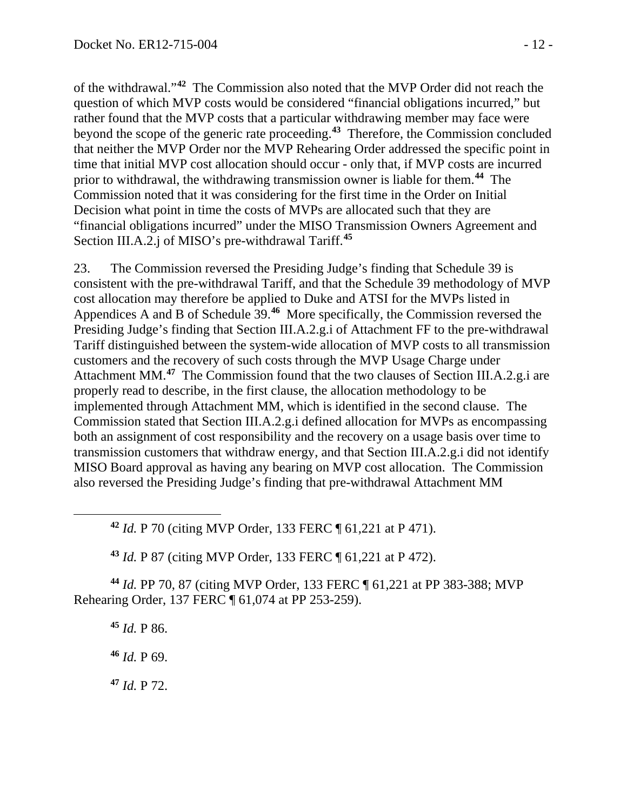of the withdrawal."**[42](#page-11-0)** The Commission also noted that the MVP Order did not reach the question of which MVP costs would be considered "financial obligations incurred," but rather found that the MVP costs that a particular withdrawing member may face were beyond the scope of the generic rate proceeding.**[43](#page-11-1)** Therefore, the Commission concluded that neither the MVP Order nor the MVP Rehearing Order addressed the specific point in time that initial MVP cost allocation should occur - only that, if MVP costs are incurred prior to withdrawal, the withdrawing transmission owner is liable for them.**[44](#page-11-2)** The Commission noted that it was considering for the first time in the Order on Initial Decision what point in time the costs of MVPs are allocated such that they are "financial obligations incurred" under the MISO Transmission Owners Agreement and Section III.A.2.j of MISO's pre-withdrawal Tariff.**[45](#page-11-3)**

23. The Commission reversed the Presiding Judge's finding that Schedule 39 is consistent with the pre-withdrawal Tariff, and that the Schedule 39 methodology of MVP cost allocation may therefore be applied to Duke and ATSI for the MVPs listed in Appendices A and B of Schedule 39.**[46](#page-11-4)** More specifically, the Commission reversed the Presiding Judge's finding that Section III.A.2.g.i of Attachment FF to the pre-withdrawal Tariff distinguished between the system-wide allocation of MVP costs to all transmission customers and the recovery of such costs through the MVP Usage Charge under Attachment MM.**[47](#page-11-5)** The Commission found that the two clauses of Section III.A.2.g.i are properly read to describe, in the first clause, the allocation methodology to be implemented through Attachment MM, which is identified in the second clause. The Commission stated that Section III.A.2.g.i defined allocation for MVPs as encompassing both an assignment of cost responsibility and the recovery on a usage basis over time to transmission customers that withdraw energy, and that Section III.A.2.g.i did not identify MISO Board approval as having any bearing on MVP cost allocation. The Commission also reversed the Presiding Judge's finding that pre-withdrawal Attachment MM

**<sup>42</sup>** *Id.* P 70 (citing MVP Order, 133 FERC ¶ 61,221 at P 471).

**<sup>43</sup>** *Id.* P 87 (citing MVP Order, 133 FERC ¶ 61,221 at P 472).

<span id="page-11-4"></span><span id="page-11-3"></span><span id="page-11-2"></span><span id="page-11-1"></span>**<sup>44</sup>** *Id.* PP 70, 87 (citing MVP Order, 133 FERC ¶ 61,221 at PP 383-388; MVP Rehearing Order, 137 FERC ¶ 61,074 at PP 253-259).

**<sup>45</sup>** *Id.* P 86.

<span id="page-11-0"></span> $\overline{a}$ 

**<sup>46</sup>** *Id.* P 69.

<span id="page-11-5"></span>**<sup>47</sup>** *Id.* P 72.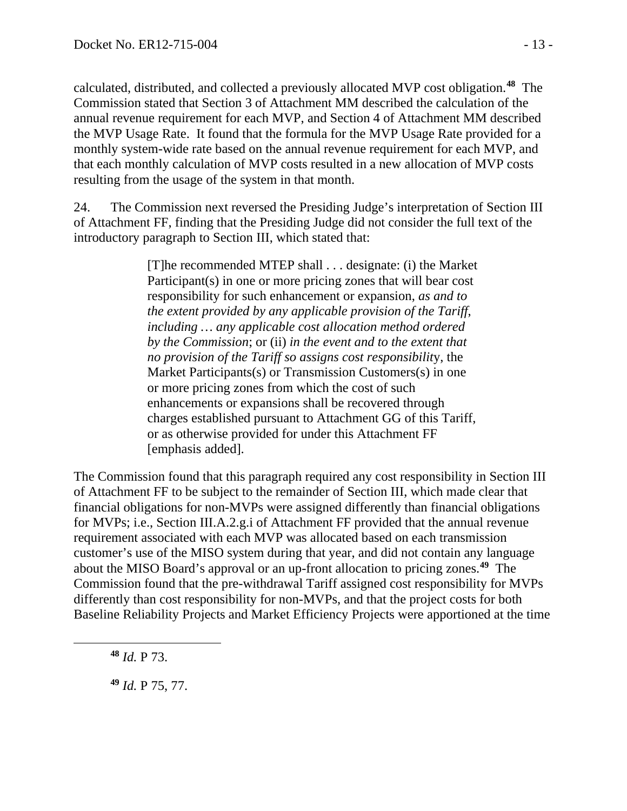calculated, distributed, and collected a previously allocated MVP cost obligation. **[48](#page-12-0)** The Commission stated that Section 3 of Attachment MM described the calculation of the annual revenue requirement for each MVP, and Section 4 of Attachment MM described the MVP Usage Rate. It found that the formula for the MVP Usage Rate provided for a monthly system-wide rate based on the annual revenue requirement for each MVP, and that each monthly calculation of MVP costs resulted in a new allocation of MVP costs resulting from the usage of the system in that month.

24. The Commission next reversed the Presiding Judge's interpretation of Section III of Attachment FF, finding that the Presiding Judge did not consider the full text of the introductory paragraph to Section III, which stated that:

> [T]he recommended MTEP shall . . . designate: (i) the Market Participant(s) in one or more pricing zones that will bear cost responsibility for such enhancement or expansion, *as and to the extent provided by any applicable provision of the Tariff*, *including … any applicable cost allocation method ordered by the Commission*; or (ii) *in the event and to the extent that no provision of the Tariff so assigns cost responsibilit*y, the Market Participants(s) or Transmission Customers(s) in one or more pricing zones from which the cost of such enhancements or expansions shall be recovered through charges established pursuant to Attachment GG of this Tariff, or as otherwise provided for under this Attachment FF [emphasis added].

The Commission found that this paragraph required any cost responsibility in Section III of Attachment FF to be subject to the remainder of Section III, which made clear that financial obligations for non-MVPs were assigned differently than financial obligations for MVPs; i.e., Section III.A.2.g.i of Attachment FF provided that the annual revenue requirement associated with each MVP was allocated based on each transmission customer's use of the MISO system during that year, and did not contain any language about the MISO Board's approval or an up-front allocation to pricing zones.**[49](#page-12-1)** The Commission found that the pre-withdrawal Tariff assigned cost responsibility for MVPs differently than cost responsibility for non-MVPs, and that the project costs for both Baseline Reliability Projects and Market Efficiency Projects were apportioned at the time

**<sup>48</sup>** *Id.* P 73.

<span id="page-12-1"></span><span id="page-12-0"></span> $\overline{a}$ 

**<sup>49</sup>** *Id.* P 75, 77.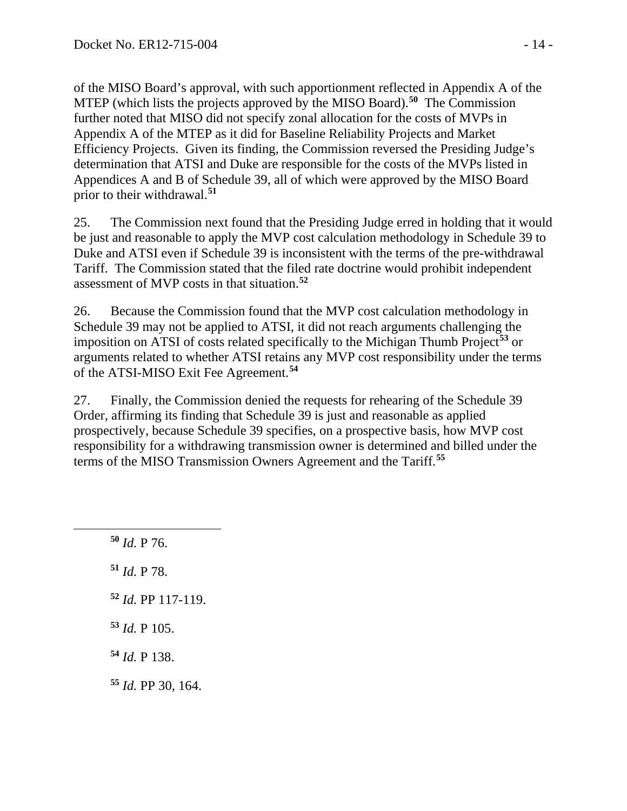of the MISO Board's approval, with such apportionment reflected in Appendix A of the MTEP (which lists the projects approved by the MISO Board). **[50](#page-13-0)** The Commission further noted that MISO did not specify zonal allocation for the costs of MVPs in Appendix A of the MTEP as it did for Baseline Reliability Projects and Market Efficiency Projects. Given its finding, the Commission reversed the Presiding Judge's determination that ATSI and Duke are responsible for the costs of the MVPs listed in Appendices A and B of Schedule 39, all of which were approved by the MISO Board prior to their withdrawal.**[51](#page-13-1)**

25. The Commission next found that the Presiding Judge erred in holding that it would be just and reasonable to apply the MVP cost calculation methodology in Schedule 39 to Duke and ATSI even if Schedule 39 is inconsistent with the terms of the pre-withdrawal Tariff. The Commission stated that the filed rate doctrine would prohibit independent assessment of MVP costs in that situation. **[52](#page-13-2)**

26. Because the Commission found that the MVP cost calculation methodology in Schedule 39 may not be applied to ATSI, it did not reach arguments challenging the imposition on ATSI of costs related specifically to the Michigan Thumb Project**[53](#page-13-3)** or arguments related to whether ATSI retains any MVP cost responsibility under the terms of the ATSI-MISO Exit Fee Agreement. **[54](#page-13-4)**

27. Finally, the Commission denied the requests for rehearing of the Schedule 39 Order, affirming its finding that Schedule 39 is just and reasonable as applied prospectively, because Schedule 39 specifies, on a prospective basis, how MVP cost responsibility for a withdrawing transmission owner is determined and billed under the terms of the MISO Transmission Owners Agreement and the Tariff.**[55](#page-13-5)**

**<sup>50</sup>** *Id.* P 76.

<span id="page-13-2"></span><span id="page-13-1"></span><span id="page-13-0"></span> $\overline{a}$ 

- **<sup>51</sup>** *Id.* P 78.
- **<sup>52</sup>** *Id.* PP 117-119.
- <span id="page-13-3"></span>**<sup>53</sup>** *Id.* P 105.
- <span id="page-13-4"></span>**<sup>54</sup>** *Id.* P 138.
- <span id="page-13-5"></span>**<sup>55</sup>** *Id.* PP 30, 164.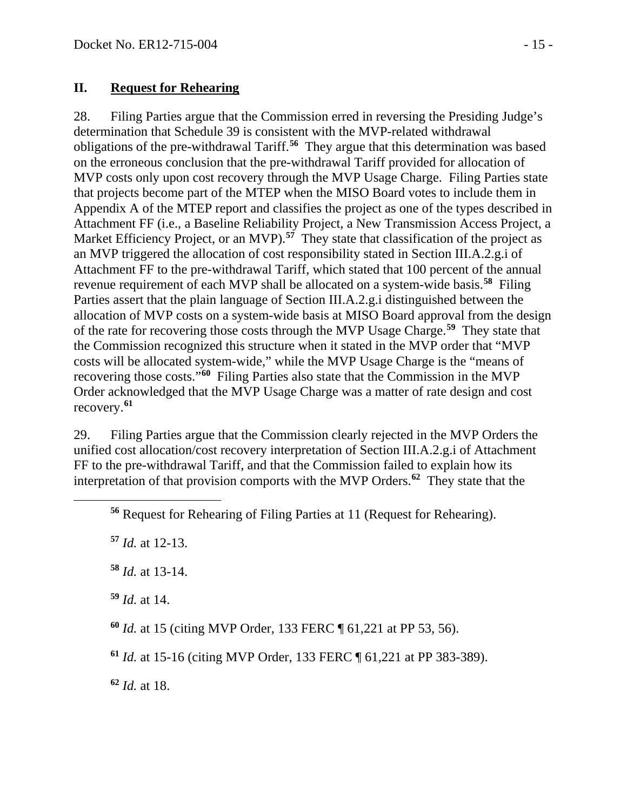#### **II. Request for Rehearing**

28. Filing Parties argue that the Commission erred in reversing the Presiding Judge's determination that Schedule 39 is consistent with the MVP-related withdrawal obligations of the pre-withdrawal Tariff.**[56](#page-14-0)** They argue that this determination was based on the erroneous conclusion that the pre-withdrawal Tariff provided for allocation of MVP costs only upon cost recovery through the MVP Usage Charge. Filing Parties state that projects become part of the MTEP when the MISO Board votes to include them in Appendix A of the MTEP report and classifies the project as one of the types described in Attachment FF (i.e., a Baseline Reliability Project, a New Transmission Access Project, a Market Efficiency Project, or an MVP).<sup>[57](#page-14-1)</sup> They state that classification of the project as an MVP triggered the allocation of cost responsibility stated in Section III.A.2.g.i of Attachment FF to the pre-withdrawal Tariff, which stated that 100 percent of the annual revenue requirement of each MVP shall be allocated on a system-wide basis.**[58](#page-14-2)** Filing Parties assert that the plain language of Section III.A.2.g.i distinguished between the allocation of MVP costs on a system-wide basis at MISO Board approval from the design of the rate for recovering those costs through the MVP Usage Charge.**[59](#page-14-3)** They state that the Commission recognized this structure when it stated in the MVP order that "MVP costs will be allocated system-wide," while the MVP Usage Charge is the "means of recovering those costs."**[60](#page-14-4)** Filing Parties also state that the Commission in the MVP Order acknowledged that the MVP Usage Charge was a matter of rate design and cost recovery.**[61](#page-14-5)**

29. Filing Parties argue that the Commission clearly rejected in the MVP Orders the unified cost allocation/cost recovery interpretation of Section III.A.2.g.i of Attachment FF to the pre-withdrawal Tariff, and that the Commission failed to explain how its interpretation of that provision comports with the MVP Orders.**[62](#page-14-6)** They state that the

**<sup>57</sup>** *Id.* at 12-13.

<span id="page-14-2"></span><span id="page-14-1"></span><span id="page-14-0"></span> $\overline{a}$ 

**<sup>58</sup>** *Id.* at 13-14.

<span id="page-14-3"></span>**<sup>59</sup>** *Id.* at 14.

<span id="page-14-4"></span>**<sup>60</sup>** *Id.* at 15 (citing MVP Order, 133 FERC ¶ 61,221 at PP 53, 56).

<span id="page-14-5"></span>**<sup>61</sup>** *Id.* at 15-16 (citing MVP Order, 133 FERC ¶ 61,221 at PP 383-389).

<span id="page-14-6"></span>**<sup>62</sup>** *Id.* at 18.

**<sup>56</sup>** Request for Rehearing of Filing Parties at 11 (Request for Rehearing).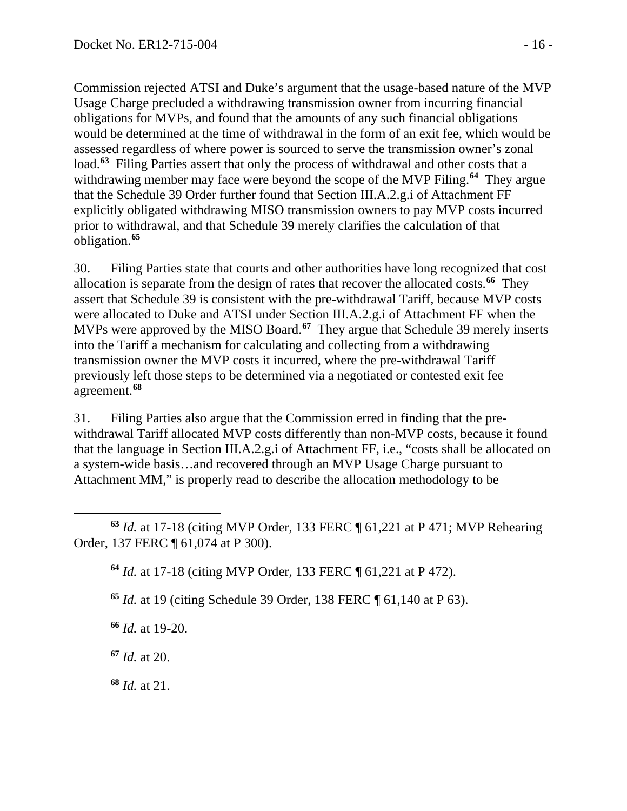Commission rejected ATSI and Duke's argument that the usage-based nature of the MVP Usage Charge precluded a withdrawing transmission owner from incurring financial obligations for MVPs, and found that the amounts of any such financial obligations would be determined at the time of withdrawal in the form of an exit fee, which would be assessed regardless of where power is sourced to serve the transmission owner's zonal load.**[63](#page-15-0)** Filing Parties assert that only the process of withdrawal and other costs that a withdrawing member may face were beyond the scope of the MVP Filing.**[64](#page-15-1)** They argue that the Schedule 39 Order further found that Section III.A.2.g.i of Attachment FF explicitly obligated withdrawing MISO transmission owners to pay MVP costs incurred prior to withdrawal, and that Schedule 39 merely clarifies the calculation of that obligation. **[65](#page-15-2)**

30. Filing Parties state that courts and other authorities have long recognized that cost allocation is separate from the design of rates that recover the allocated costs.**[66](#page-15-3)** They assert that Schedule 39 is consistent with the pre-withdrawal Tariff, because MVP costs were allocated to Duke and ATSI under Section III.A.2.g.i of Attachment FF when the MVPs were approved by the MISO Board.**[67](#page-15-4)** They argue that Schedule 39 merely inserts into the Tariff a mechanism for calculating and collecting from a withdrawing transmission owner the MVP costs it incurred, where the pre-withdrawal Tariff previously left those steps to be determined via a negotiated or contested exit fee agreement.**[68](#page-15-5)**

31. Filing Parties also argue that the Commission erred in finding that the prewithdrawal Tariff allocated MVP costs differently than non-MVP costs, because it found that the language in Section III.A.2.g.i of Attachment FF, i.e., "costs shall be allocated on a system-wide basis…and recovered through an MVP Usage Charge pursuant to Attachment MM," is properly read to describe the allocation methodology to be

**<sup>64</sup>** *Id.* at 17-18 (citing MVP Order, 133 FERC ¶ 61,221 at P 472).

<span id="page-15-2"></span>**<sup>65</sup>** *Id.* at 19 (citing Schedule 39 Order, 138 FERC ¶ 61,140 at P 63).

<span id="page-15-3"></span>**<sup>66</sup>** *Id.* at 19-20.

<span id="page-15-4"></span>**<sup>67</sup>** *Id.* at 20.

<span id="page-15-5"></span>**<sup>68</sup>** *Id.* at 21.

<span id="page-15-1"></span><span id="page-15-0"></span> $\overline{a}$ **<sup>63</sup>** *Id.* at 17-18 (citing MVP Order, 133 FERC ¶ 61,221 at P 471; MVP Rehearing Order, 137 FERC ¶ 61,074 at P 300).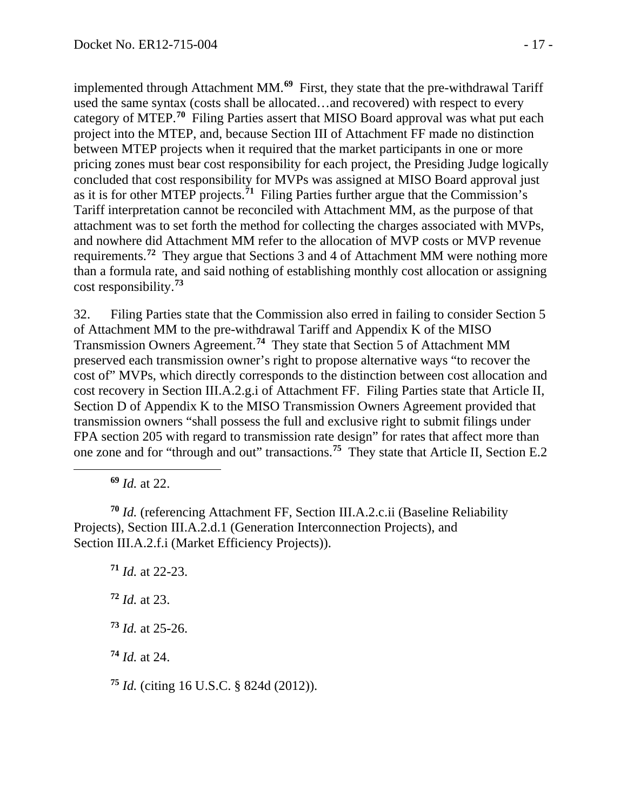implemented through Attachment MM. **[69](#page-16-0)** First, they state that the pre-withdrawal Tariff used the same syntax (costs shall be allocated…and recovered) with respect to every category of MTEP.**[70](#page-16-1)** Filing Parties assert that MISO Board approval was what put each project into the MTEP, and, because Section III of Attachment FF made no distinction between MTEP projects when it required that the market participants in one or more pricing zones must bear cost responsibility for each project, the Presiding Judge logically concluded that cost responsibility for MVPs was assigned at MISO Board approval just as it is for other MTEP projects. **[71](#page-16-2)** Filing Parties further argue that the Commission's Tariff interpretation cannot be reconciled with Attachment MM, as the purpose of that attachment was to set forth the method for collecting the charges associated with MVPs, and nowhere did Attachment MM refer to the allocation of MVP costs or MVP revenue requirements.**[72](#page-16-3)** They argue that Sections 3 and 4 of Attachment MM were nothing more than a formula rate, and said nothing of establishing monthly cost allocation or assigning cost responsibility.**[73](#page-16-4)**

32. Filing Parties state that the Commission also erred in failing to consider Section 5 of Attachment MM to the pre-withdrawal Tariff and Appendix K of the MISO Transmission Owners Agreement.**[74](#page-16-5)** They state that Section 5 of Attachment MM preserved each transmission owner's right to propose alternative ways "to recover the cost of" MVPs, which directly corresponds to the distinction between cost allocation and cost recovery in Section III.A.2.g.i of Attachment FF. Filing Parties state that Article II, Section D of Appendix K to the MISO Transmission Owners Agreement provided that transmission owners "shall possess the full and exclusive right to submit filings under FPA section 205 with regard to transmission rate design" for rates that affect more than one zone and for "through and out" transactions.**[75](#page-16-6)** They state that Article II, Section E.2

**<sup>69</sup>** *Id.* at 22.

<span id="page-16-0"></span> $\overline{a}$ 

<span id="page-16-2"></span><span id="page-16-1"></span>**<sup>70</sup>** *Id.* (referencing Attachment FF, Section III.A.2.c.ii (Baseline Reliability Projects), Section III.A.2.d.1 (Generation Interconnection Projects), and Section III.A.2.f.i (Market Efficiency Projects)).

<span id="page-16-3"></span>**<sup>71</sup>** *Id.* at 22-23. **<sup>72</sup>** *Id.* at 23. **<sup>73</sup>** *Id.* at 25-26.

<span id="page-16-5"></span><span id="page-16-4"></span>**<sup>74</sup>** *Id.* at 24.

<span id="page-16-6"></span>**<sup>75</sup>** *Id.* (citing 16 U.S.C. § 824d (2012)).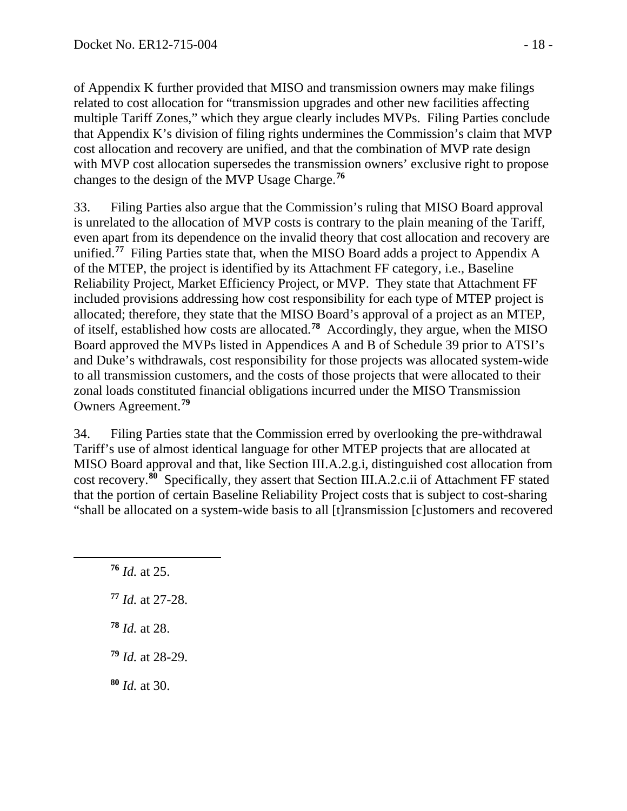of Appendix K further provided that MISO and transmission owners may make filings related to cost allocation for "transmission upgrades and other new facilities affecting multiple Tariff Zones," which they argue clearly includes MVPs. Filing Parties conclude that Appendix K's division of filing rights undermines the Commission's claim that MVP cost allocation and recovery are unified, and that the combination of MVP rate design with MVP cost allocation supersedes the transmission owners' exclusive right to propose changes to the design of the MVP Usage Charge.**[76](#page-17-0)**

33. Filing Parties also argue that the Commission's ruling that MISO Board approval is unrelated to the allocation of MVP costs is contrary to the plain meaning of the Tariff, even apart from its dependence on the invalid theory that cost allocation and recovery are unified.**[77](#page-17-1)** Filing Parties state that, when the MISO Board adds a project to Appendix A of the MTEP, the project is identified by its Attachment FF category, i.e., Baseline Reliability Project, Market Efficiency Project, or MVP. They state that Attachment FF included provisions addressing how cost responsibility for each type of MTEP project is allocated; therefore, they state that the MISO Board's approval of a project as an MTEP, of itself, established how costs are allocated.**[78](#page-17-2)** Accordingly, they argue, when the MISO Board approved the MVPs listed in Appendices A and B of Schedule 39 prior to ATSI's and Duke's withdrawals, cost responsibility for those projects was allocated system-wide to all transmission customers, and the costs of those projects that were allocated to their zonal loads constituted financial obligations incurred under the MISO Transmission Owners Agreement.**[79](#page-17-3)**

34. Filing Parties state that the Commission erred by overlooking the pre-withdrawal Tariff's use of almost identical language for other MTEP projects that are allocated at MISO Board approval and that, like Section III.A.2.g.i, distinguished cost allocation from cost recovery.**[80](#page-17-4)** Specifically, they assert that Section III.A.2.c.ii of Attachment FF stated that the portion of certain Baseline Reliability Project costs that is subject to cost-sharing "shall be allocated on a system-wide basis to all [t]ransmission [c]ustomers and recovered

**<sup>76</sup>** *Id.* at 25.

<span id="page-17-2"></span><span id="page-17-1"></span><span id="page-17-0"></span> $\overline{a}$ 

- **<sup>77</sup>** *Id.* at 27-28.
- **<sup>78</sup>** *Id.* at 28.
- <span id="page-17-3"></span>**<sup>79</sup>** *Id.* at 28-29.
- <span id="page-17-4"></span>**<sup>80</sup>** *Id.* at 30.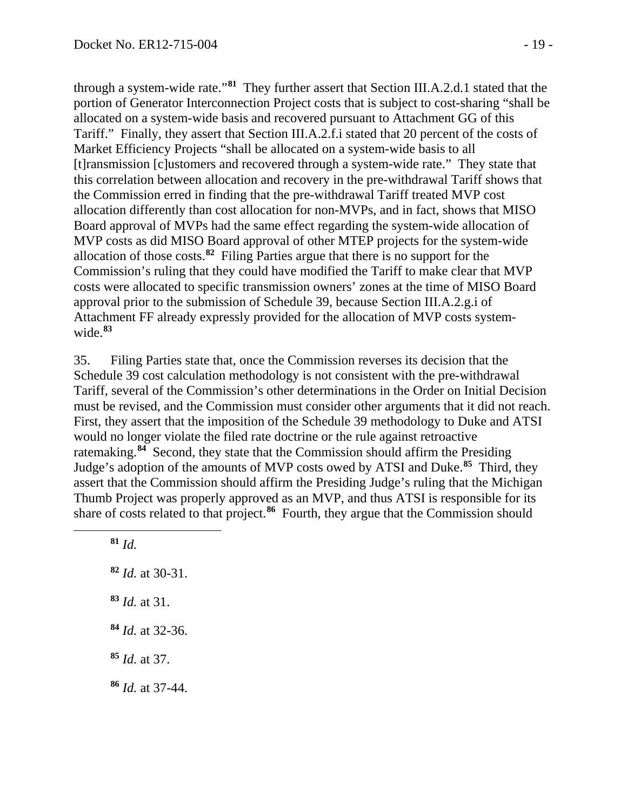through a system-wide rate."**[81](#page-18-0)** They further assert that Section III.A.2.d.1 stated that the portion of Generator Interconnection Project costs that is subject to cost-sharing "shall be allocated on a system-wide basis and recovered pursuant to Attachment GG of this Tariff." Finally, they assert that Section III.A.2.f.i stated that 20 percent of the costs of Market Efficiency Projects "shall be allocated on a system-wide basis to all [t]ransmission [c]ustomers and recovered through a system-wide rate." They state that this correlation between allocation and recovery in the pre-withdrawal Tariff shows that the Commission erred in finding that the pre-withdrawal Tariff treated MVP cost allocation differently than cost allocation for non-MVPs, and in fact, shows that MISO Board approval of MVPs had the same effect regarding the system-wide allocation of MVP costs as did MISO Board approval of other MTEP projects for the system-wide allocation of those costs.**[82](#page-18-1)** Filing Parties argue that there is no support for the Commission's ruling that they could have modified the Tariff to make clear that MVP costs were allocated to specific transmission owners' zones at the time of MISO Board approval prior to the submission of Schedule 39, because Section III.A.2.g.i of Attachment FF already expressly provided for the allocation of MVP costs systemwide.**[83](#page-18-2)**

35. Filing Parties state that, once the Commission reverses its decision that the Schedule 39 cost calculation methodology is not consistent with the pre-withdrawal Tariff, several of the Commission's other determinations in the Order on Initial Decision must be revised, and the Commission must consider other arguments that it did not reach. First, they assert that the imposition of the Schedule 39 methodology to Duke and ATSI would no longer violate the filed rate doctrine or the rule against retroactive ratemaking.**[84](#page-18-3)** Second, they state that the Commission should affirm the Presiding Judge's adoption of the amounts of MVP costs owed by ATSI and Duke.**[85](#page-18-4)** Third, they assert that the Commission should affirm the Presiding Judge's ruling that the Michigan Thumb Project was properly approved as an MVP, and thus ATSI is responsible for its share of costs related to that project.<sup>[86](#page-18-5)</sup> Fourth, they argue that the Commission should

**<sup>81</sup>** *Id.*

<span id="page-18-3"></span><span id="page-18-2"></span><span id="page-18-1"></span><span id="page-18-0"></span> $\overline{a}$ 

<span id="page-18-5"></span><span id="page-18-4"></span> *Id.* at 30-31. *Id.* at 31. *Id.* at 32-36. *Id.* at 37. *Id.* at 37-44.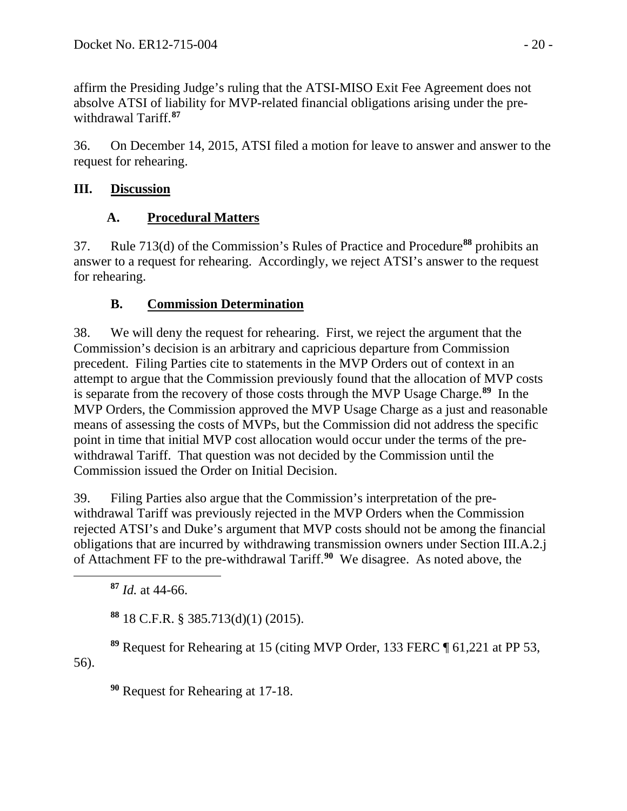affirm the Presiding Judge's ruling that the ATSI-MISO Exit Fee Agreement does not absolve ATSI of liability for MVP-related financial obligations arising under the prewithdrawal Tariff.**[87](#page-19-0)**

36. On December 14, 2015, ATSI filed a motion for leave to answer and answer to the request for rehearing.

## **III. Discussion**

# **A. Procedural Matters**

37. Rule 713(d) of the Commission's Rules of Practice and Procedure**[88](#page-19-1)** prohibits an answer to a request for rehearing. Accordingly, we reject ATSI's answer to the request for rehearing.

# **B. Commission Determination**

38. We will deny the request for rehearing. First, we reject the argument that the Commission's decision is an arbitrary and capricious departure from Commission precedent. Filing Parties cite to statements in the MVP Orders out of context in an attempt to argue that the Commission previously found that the allocation of MVP costs is separate from the recovery of those costs through the MVP Usage Charge. **[89](#page-19-2)** In the MVP Orders, the Commission approved the MVP Usage Charge as a just and reasonable means of assessing the costs of MVPs, but the Commission did not address the specific point in time that initial MVP cost allocation would occur under the terms of the prewithdrawal Tariff. That question was not decided by the Commission until the Commission issued the Order on Initial Decision.

39. Filing Parties also argue that the Commission's interpretation of the prewithdrawal Tariff was previously rejected in the MVP Orders when the Commission rejected ATSI's and Duke's argument that MVP costs should not be among the financial obligations that are incurred by withdrawing transmission owners under Section III.A.2.j of Attachment FF to the pre-withdrawal Tariff.**[90](#page-19-3)** We disagree. As noted above, the

**<sup>87</sup>** *Id.* at 44-66.

<span id="page-19-0"></span> $\overline{a}$ 

**<sup>88</sup>** 18 C.F.R. § 385.713(d)(1) (2015).

<span id="page-19-3"></span><span id="page-19-2"></span><span id="page-19-1"></span>**<sup>89</sup>** Request for Rehearing at 15 (citing MVP Order, 133 FERC ¶ 61,221 at PP 53, 56).

**<sup>90</sup>** Request for Rehearing at 17-18.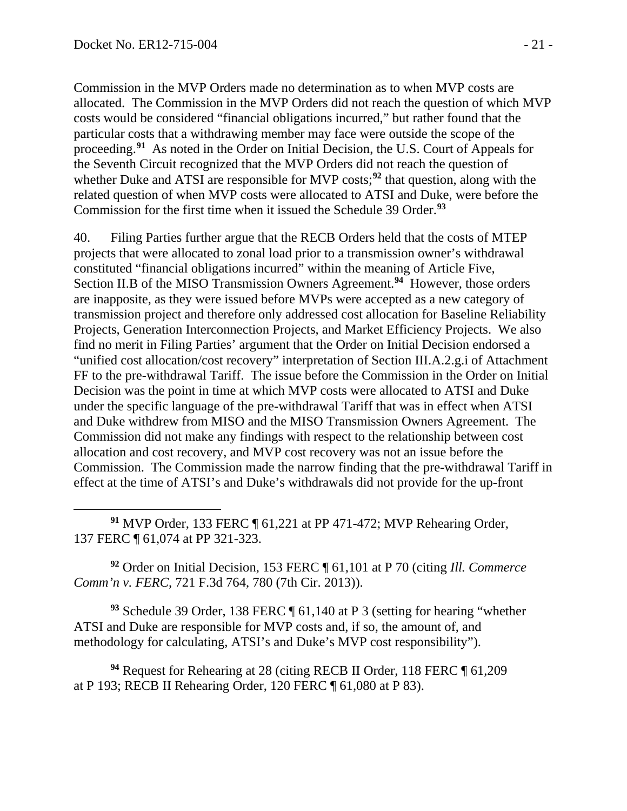Commission in the MVP Orders made no determination as to when MVP costs are allocated. The Commission in the MVP Orders did not reach the question of which MVP costs would be considered "financial obligations incurred," but rather found that the particular costs that a withdrawing member may face were outside the scope of the proceeding.**[91](#page-20-0)** As noted in the Order on Initial Decision, the U.S. Court of Appeals for the Seventh Circuit recognized that the MVP Orders did not reach the question of whether Duke and ATSI are responsible for MVP costs;<sup>[92](#page-20-1)</sup> that question, along with the related question of when MVP costs were allocated to ATSI and Duke, were before the Commission for the first time when it issued the Schedule 39 Order. **[93](#page-20-2)**

40. Filing Parties further argue that the RECB Orders held that the costs of MTEP projects that were allocated to zonal load prior to a transmission owner's withdrawal constituted "financial obligations incurred" within the meaning of Article Five, Section II.B of the MISO Transmission Owners Agreement.**[94](#page-20-3)** However, those orders are inapposite, as they were issued before MVPs were accepted as a new category of transmission project and therefore only addressed cost allocation for Baseline Reliability Projects, Generation Interconnection Projects, and Market Efficiency Projects. We also find no merit in Filing Parties' argument that the Order on Initial Decision endorsed a "unified cost allocation/cost recovery" interpretation of Section III.A.2.g.i of Attachment FF to the pre-withdrawal Tariff. The issue before the Commission in the Order on Initial Decision was the point in time at which MVP costs were allocated to ATSI and Duke under the specific language of the pre-withdrawal Tariff that was in effect when ATSI and Duke withdrew from MISO and the MISO Transmission Owners Agreement. The Commission did not make any findings with respect to the relationship between cost allocation and cost recovery, and MVP cost recovery was not an issue before the Commission. The Commission made the narrow finding that the pre-withdrawal Tariff in effect at the time of ATSI's and Duke's withdrawals did not provide for the up-front

<span id="page-20-0"></span> $\overline{a}$ **<sup>91</sup>** MVP Order, 133 FERC ¶ 61,221 at PP 471-472; MVP Rehearing Order, 137 FERC ¶ 61,074 at PP 321-323.

<span id="page-20-1"></span>**<sup>92</sup>** Order on Initial Decision, 153 FERC ¶ 61,101 at P 70 (citing *Ill. Commerce Comm'n v. FERC*, 721 F.3d 764, 780 (7th Cir. 2013)).

<span id="page-20-2"></span>**<sup>93</sup>** Schedule 39 Order, 138 FERC ¶ 61,140 at P 3 (setting for hearing "whether ATSI and Duke are responsible for MVP costs and, if so, the amount of, and methodology for calculating, ATSI's and Duke's MVP cost responsibility").

<span id="page-20-3"></span>**<sup>94</sup>** Request for Rehearing at 28 (citing RECB II Order, 118 FERC ¶ 61,209 at P 193; RECB II Rehearing Order, 120 FERC ¶ 61,080 at P 83).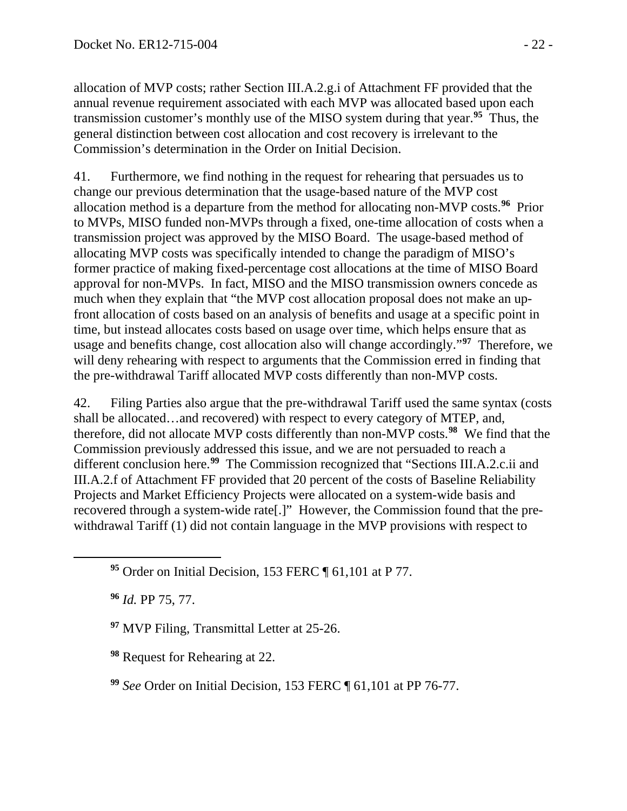allocation of MVP costs; rather Section III.A.2.g.i of Attachment FF provided that the annual revenue requirement associated with each MVP was allocated based upon each transmission customer's monthly use of the MISO system during that year.**[95](#page-21-0)** Thus, the general distinction between cost allocation and cost recovery is irrelevant to the Commission's determination in the Order on Initial Decision.

41. Furthermore, we find nothing in the request for rehearing that persuades us to change our previous determination that the usage-based nature of the MVP cost allocation method is a departure from the method for allocating non-MVP costs.**[96](#page-21-1)** Prior to MVPs, MISO funded non-MVPs through a fixed, one-time allocation of costs when a transmission project was approved by the MISO Board. The usage-based method of allocating MVP costs was specifically intended to change the paradigm of MISO's former practice of making fixed-percentage cost allocations at the time of MISO Board approval for non-MVPs. In fact, MISO and the MISO transmission owners concede as much when they explain that "the MVP cost allocation proposal does not make an upfront allocation of costs based on an analysis of benefits and usage at a specific point in time, but instead allocates costs based on usage over time, which helps ensure that as usage and benefits change, cost allocation also will change accordingly."**[97](#page-21-2)** Therefore, we will deny rehearing with respect to arguments that the Commission erred in finding that the pre-withdrawal Tariff allocated MVP costs differently than non-MVP costs.

42. Filing Parties also argue that the pre-withdrawal Tariff used the same syntax (costs shall be allocated…and recovered) with respect to every category of MTEP, and, therefore, did not allocate MVP costs differently than non-MVP costs.**[98](#page-21-3)** We find that the Commission previously addressed this issue, and we are not persuaded to reach a different conclusion here.**[99](#page-21-4)** The Commission recognized that "Sections III.A.2.c.ii and III.A.2.f of Attachment FF provided that 20 percent of the costs of Baseline Reliability Projects and Market Efficiency Projects were allocated on a system-wide basis and recovered through a system-wide rate[.]" However, the Commission found that the prewithdrawal Tariff (1) did not contain language in the MVP provisions with respect to

**<sup>96</sup>** *Id.* PP 75, 77.

<span id="page-21-2"></span><span id="page-21-1"></span><span id="page-21-0"></span> $\overline{a}$ 

<span id="page-21-3"></span>**<sup>98</sup>** Request for Rehearing at 22.

**<sup>95</sup>** Order on Initial Decision, 153 FERC ¶ 61,101 at P 77.

**<sup>97</sup>** MVP Filing, Transmittal Letter at 25-26.

<span id="page-21-4"></span>**<sup>99</sup>** *See* Order on Initial Decision, 153 FERC ¶ 61,101 at PP 76-77.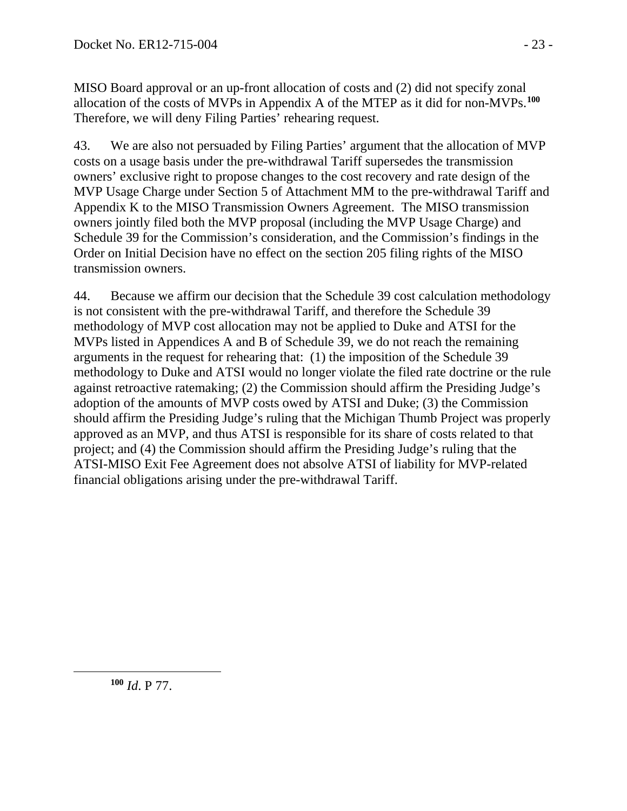MISO Board approval or an up-front allocation of costs and (2) did not specify zonal allocation of the costs of MVPs in Appendix A of the MTEP as it did for non-MVPs.**[100](#page-22-0)** Therefore, we will deny Filing Parties' rehearing request.

43. We are also not persuaded by Filing Parties' argument that the allocation of MVP costs on a usage basis under the pre-withdrawal Tariff supersedes the transmission owners' exclusive right to propose changes to the cost recovery and rate design of the MVP Usage Charge under Section 5 of Attachment MM to the pre-withdrawal Tariff and Appendix K to the MISO Transmission Owners Agreement. The MISO transmission owners jointly filed both the MVP proposal (including the MVP Usage Charge) and Schedule 39 for the Commission's consideration, and the Commission's findings in the Order on Initial Decision have no effect on the section 205 filing rights of the MISO transmission owners.

44. Because we affirm our decision that the Schedule 39 cost calculation methodology is not consistent with the pre-withdrawal Tariff, and therefore the Schedule 39 methodology of MVP cost allocation may not be applied to Duke and ATSI for the MVPs listed in Appendices A and B of Schedule 39, we do not reach the remaining arguments in the request for rehearing that: (1) the imposition of the Schedule 39 methodology to Duke and ATSI would no longer violate the filed rate doctrine or the rule against retroactive ratemaking; (2) the Commission should affirm the Presiding Judge's adoption of the amounts of MVP costs owed by ATSI and Duke; (3) the Commission should affirm the Presiding Judge's ruling that the Michigan Thumb Project was properly approved as an MVP, and thus ATSI is responsible for its share of costs related to that project; and (4) the Commission should affirm the Presiding Judge's ruling that the ATSI-MISO Exit Fee Agreement does not absolve ATSI of liability for MVP-related financial obligations arising under the pre-withdrawal Tariff.

**<sup>100</sup>** *Id*. P 77.

<span id="page-22-0"></span> $\overline{a}$